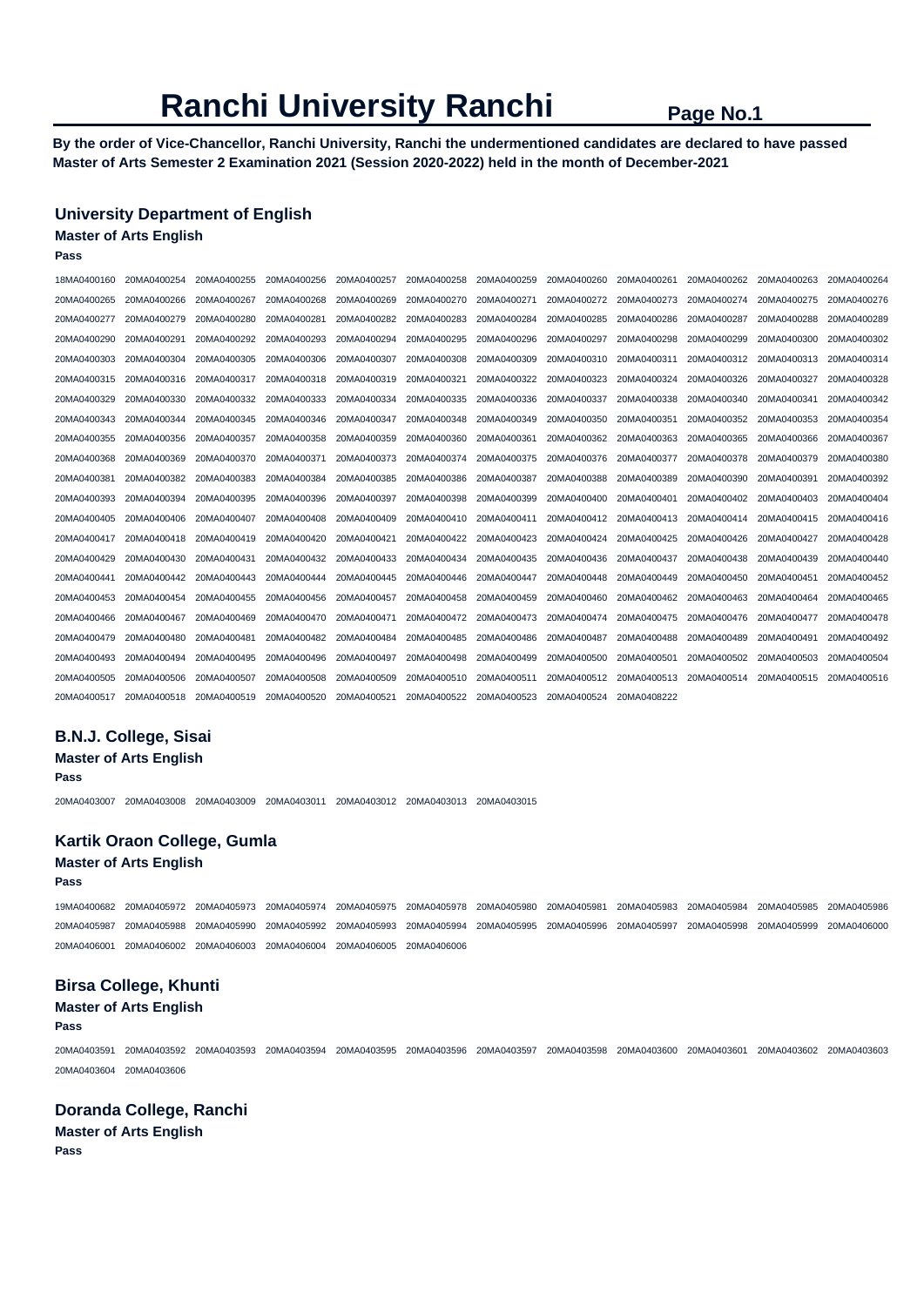# **Ranchi University Ranchi Page No.1**

**By the order of Vice-Chancellor, Ranchi University, Ranchi the undermentioned candidates are declared to have passed Master of Arts Semester 2 Examination 2021 (Session 2020-2022) held in the month of December-2021** 

# **University Department of English**

# **Master of Arts English**

**Pass** 

| 18MA0400160 | 20MA0400254                         | 20MA0400255 | 20MA0400256 | 20MA0400257 | 20MA0400258 | 20MA0400259 | 20MA0400260 | 20MA0400261 | 20MA0400262 | 20MA0400263 | 20MA0400264 |
|-------------|-------------------------------------|-------------|-------------|-------------|-------------|-------------|-------------|-------------|-------------|-------------|-------------|
| 20MA0400265 | 20MA0400266                         | 20MA0400267 | 20MA0400268 | 20MA0400269 | 20MA0400270 | 20MA0400271 | 20MA0400272 | 20MA0400273 | 20MA0400274 | 20MA0400275 | 20MA0400276 |
| 20MA0400277 | 20MA0400279                         | 20MA0400280 | 20MA0400281 | 20MA0400282 | 20MA0400283 | 20MA0400284 | 20MA0400285 | 20MA0400286 | 20MA0400287 | 20MA0400288 | 20MA0400289 |
| 20MA0400290 | 20MA0400291                         | 20MA0400292 | 20MA0400293 | 20MA0400294 | 20MA0400295 | 20MA0400296 | 20MA0400297 | 20MA0400298 | 20MA0400299 | 20MA0400300 | 20MA0400302 |
| 20MA0400303 | 20MA0400304                         | 20MA0400305 | 20MA0400306 | 20MA0400307 | 20MA0400308 | 20MA0400309 | 20MA0400310 | 20MA0400311 | 20MA0400312 | 20MA0400313 | 20MA0400314 |
| 20MA0400315 | 20MA0400316                         | 20MA0400317 | 20MA0400318 | 20MA0400319 | 20MA0400321 | 20MA0400322 | 20MA0400323 | 20MA0400324 | 20MA0400326 | 20MA0400327 | 20MA0400328 |
| 20MA0400329 | 20MA0400330                         | 20MA0400332 | 20MA0400333 | 20MA0400334 | 20MA0400335 | 20MA0400336 | 20MA0400337 | 20MA0400338 | 20MA0400340 | 20MA0400341 | 20MA0400342 |
| 20MA0400343 | 20MA0400344                         | 20MA0400345 | 20MA0400346 | 20MA0400347 | 20MA0400348 | 20MA0400349 | 20MA0400350 | 20MA0400351 | 20MA0400352 | 20MA0400353 | 20MA0400354 |
| 20MA0400355 | 20MA0400356                         | 20MA0400357 | 20MA0400358 | 20MA0400359 | 20MA0400360 | 20MA0400361 | 20MA0400362 | 20MA0400363 | 20MA0400365 | 20MA0400366 | 20MA0400367 |
| 20MA0400368 | 20MA0400369                         | 20MA0400370 | 20MA0400371 | 20MA0400373 | 20MA0400374 | 20MA0400375 | 20MA0400376 | 20MA0400377 | 20MA0400378 | 20MA0400379 | 20MA0400380 |
| 20MA0400381 | 20MA0400382                         | 20MA0400383 | 20MA0400384 | 20MA0400385 | 20MA0400386 | 20MA0400387 | 20MA0400388 | 20MA0400389 | 20MA0400390 | 20MA0400391 | 20MA0400392 |
| 20MA0400393 | 20MA0400394                         | 20MA0400395 | 20MA0400396 | 20MA0400397 | 20MA0400398 | 20MA0400399 | 20MA0400400 | 20MA0400401 | 20MA0400402 | 20MA0400403 | 20MA0400404 |
| 20MA0400405 | 20MA0400406                         | 20MA0400407 | 20MA0400408 | 20MA0400409 | 20MA0400410 | 20MA0400411 | 20MA0400412 | 20MA0400413 | 20MA0400414 | 20MA0400415 | 20MA0400416 |
| 20MA0400417 | 20MA0400418                         | 20MA0400419 | 20MA0400420 | 20MA0400421 | 20MA0400422 | 20MA0400423 | 20MA0400424 | 20MA0400425 | 20MA0400426 | 20MA0400427 | 20MA0400428 |
| 20MA0400429 | 20MA0400430                         | 20MA0400431 | 20MA0400432 | 20MA0400433 | 20MA0400434 | 20MA0400435 | 20MA0400436 | 20MA0400437 | 20MA0400438 | 20MA0400439 | 20MA0400440 |
| 20MA0400441 | 20MA0400442                         | 20MA0400443 | 20MA0400444 | 20MA0400445 | 20MA0400446 | 20MA0400447 | 20MA0400448 | 20MA0400449 | 20MA0400450 | 20MA0400451 | 20MA0400452 |
| 20MA0400453 | 20MA0400454                         | 20MA0400455 | 20MA0400456 | 20MA0400457 | 20MA0400458 | 20MA0400459 | 20MA0400460 | 20MA0400462 | 20MA0400463 | 20MA0400464 | 20MA0400465 |
| 20MA0400466 | 20MA0400467                         | 20MA0400469 | 20MA0400470 | 20MA0400471 | 20MA0400472 | 20MA0400473 | 20MA0400474 | 20MA0400475 | 20MA0400476 | 20MA0400477 | 20MA0400478 |
| 20MA0400479 | 20MA0400480                         | 20MA0400481 | 20MA0400482 | 20MA0400484 | 20MA0400485 | 20MA0400486 | 20MA0400487 | 20MA0400488 | 20MA0400489 | 20MA0400491 | 20MA0400492 |
| 20MA0400493 | 20MA0400494                         | 20MA0400495 | 20MA0400496 | 20MA0400497 | 20MA0400498 | 20MA0400499 | 20MA0400500 | 20MA0400501 | 20MA0400502 | 20MA0400503 | 20MA0400504 |
| 20MA0400505 | 20MA0400506                         | 20MA0400507 | 20MA0400508 | 20MA0400509 | 20MA0400510 | 20MA0400511 | 20MA0400512 | 20MA0400513 | 20MA0400514 | 20MA0400515 | 20MA0400516 |
|             | 20MA0400517 20MA0400518 20MA0400519 |             | 20MA0400520 | 20MA0400521 | 20MA0400522 | 20MA0400523 | 20MA0400524 | 20MA0408222 |             |             |             |

## **B.N.J. College, Sisai**

**Master of Arts English** 

**Pass** 

20MA0403007 20MA0403008 20MA0403009 20MA0403011 20MA0403012 20MA0403013 20MA0403015

# **Kartik Oraon College, Gumla**

- **Master of Arts English**
- **Pass**

19MA0400682 20MA0405972 20MA0405973 20MA0405974 20MA0405975 20MA0405978 20MA0405980 20MA0405981 20MA0405983 20MA0405984 20MA0405985 20MA0405986 20MA0405987 20MA0405988 20MA0405990 20MA0405992 20MA0405993 20MA0405994 20MA0405995 20MA0405996 20MA0405997 20MA0405998 20MA0405999 20MA0406000 20MA0406001 20MA0406002 20MA0406003 20MA0406004 20MA0406005 20MA0406006

# **Birsa College, Khunti**

### **Master of Arts English**

**Pass** 

20MA0403591 20MA0403592 20MA0403593 20MA0403594 20MA0403595 20MA0403596 20MA0403597 20MA0403598 20MA0403600 20MA0403601 20MA0403602 20MA0403603 20MA0403604 20MA0403606

## **Doranda College, Ranchi**

**Master of Arts English Pass**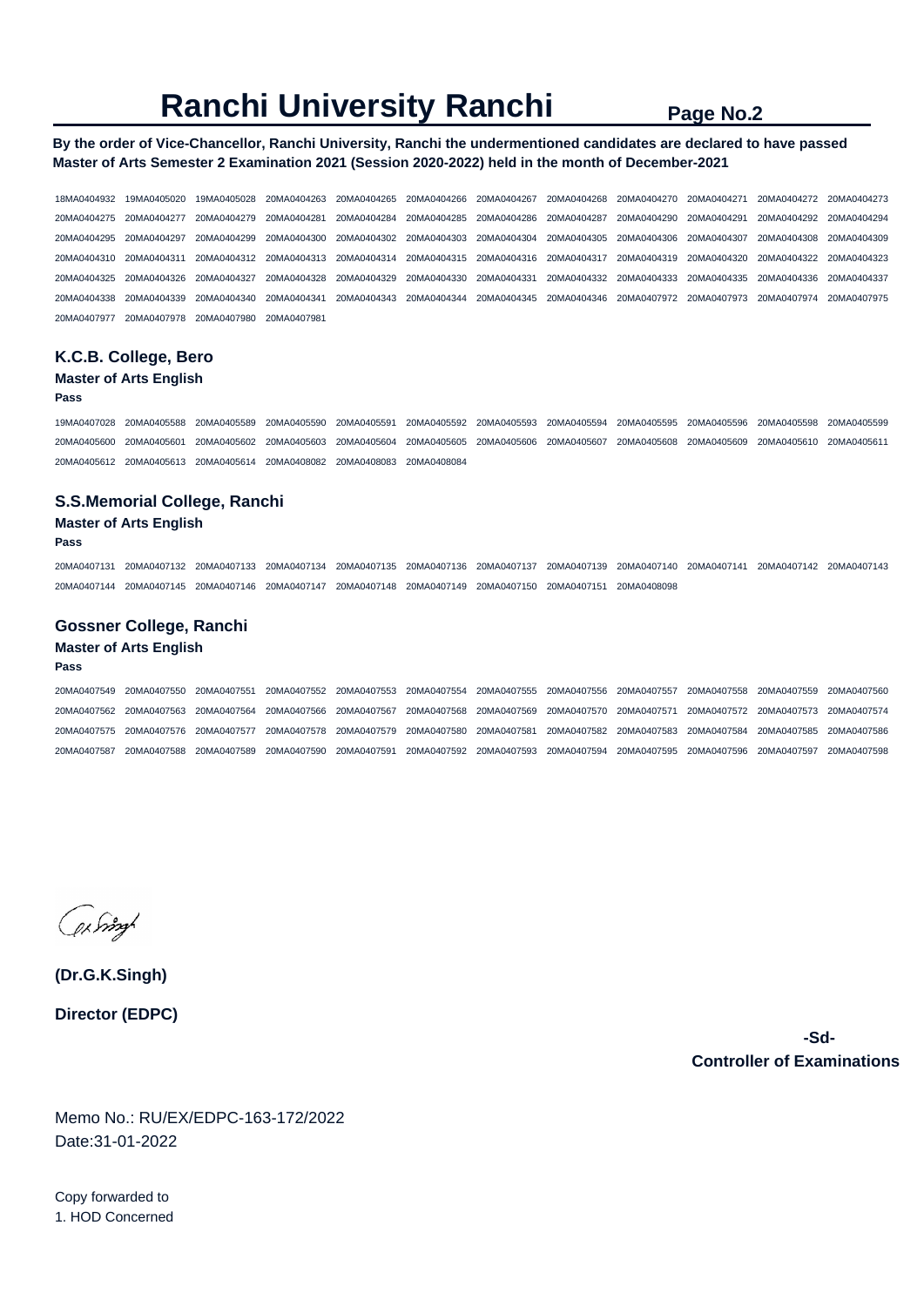# **Ranchi University Ranchi Page No.2**

# **By the order of Vice-Chancellor, Ranchi University, Ranchi the undermentioned candidates are declared to have passed Master of Arts Semester 2 Examination 2021 (Session 2020-2022) held in the month of December-2021**

18MA0404932 19MA0405020 19MA0405028 20MA0404263 20MA0404265 20MA0404266 20MA0404267 20MA0404268 20MA0404270 20MA0404271 20MA0404272 20MA0404273 20MA0404275 20MA0404277 20MA0404279 20MA0404281 20MA0404284 20MA0404285 20MA0404286 20MA0404287 20MA0404290 20MA0404291 20MA0404292 20MA0404294 20MA0404295 20MA0404297 20MA0404299 20MA0404300 20MA0404302 20MA0404303 20MA0404304 20MA0404305 20MA0404306 20MA0404307 20MA0404308 20MA0404309 20MA0404310 20MA0404311 20MA0404312 20MA0404313 20MA0404314 20MA0404315 20MA0404316 20MA0404317 20MA0404319 20MA0404320 20MA0404322 20MA0404323 20MA0404325 20MA0404326 20MA0404327 20MA0404328 20MA0404329 20MA0404330 20MA0404331 20MA0404332 20MA0404333 20MA0404335 20MA0404336 20MA0404337 20MA0404338 20MA0404339 20MA0404340 20MA0404341 20MA0404343 20MA0404344 20MA0404345 20MA0404346 20MA0407972 20MA0407973 20MA0407974 20MA0407975 20MA0407977 20MA0407978 20MA0407980 20MA0407981

# **K.C.B. College, Bero**

# **Master of Arts English**

### **Pass**

19MA0407028 20MA0405588 20MA0405589 20MA0405590 20MA0405591 20MA0405592 20MA0405593 20MA0405594 20MA0405595 20MA0405596 20MA0405598 20MA0405599 20MA0405600 20MA0405601 20MA0405602 20MA0405603 20MA0405604 20MA0405605 20MA0405606 20MA0405607 20MA0405608 20MA0405609 20MA0405610 20MA0405611 20MA0405612 20MA0405613 20MA0405614 20MA0408082 20MA0408083 20MA0408084

## **S.S.Memorial College, Ranchi**

### **Master of Arts English**

#### **Pass**

20MA0407131 20MA0407132 20MA0407133 20MA0407134 20MA0407135 20MA0407136 20MA0407137 20MA0407139 20MA0407140 20MA0407141 20MA0407142 20MA0407143 20MA0407144 20MA0407145 20MA0407146 20MA0407147 20MA0407148 20MA0407149 20MA0407150 20MA0407151 20MA0408098

## **Gossner College, Ranchi**

#### **Master of Arts English**

#### **Pass**

20MA0407549 20MA0407550 20MA0407551 20MA0407552 20MA0407553 20MA0407554 20MA0407555 20MA0407556 20MA0407557 20MA0407558 20MA0407559 20MA0407560 20MA0407562 20MA0407563 20MA0407564 20MA0407566 20MA0407567 20MA0407568 20MA0407569 20MA0407570 20MA0407571 20MA0407572 20MA0407573 20MA0407574 20MA0407575 20MA0407576 20MA0407577 20MA0407578 20MA0407579 20MA0407580 20MA0407581 20MA0407582 20MA0407583 20MA0407584 20MA0407585 20MA0407586 20MA0407587 20MA0407588 20MA0407589 20MA0407590 20MA0407591 20MA0407592 20MA0407593 20MA0407594 20MA0407595 20MA0407596 20MA0407597 20MA0407598

Jering

**(Dr.G.K.Singh) Director (EDPC)**

> **-Sd-Controller of Examinations**

Memo No.: RU/EX/EDPC-163-172/2022 Date:31-01-2022

Copy forwarded to 1. HOD Concerned